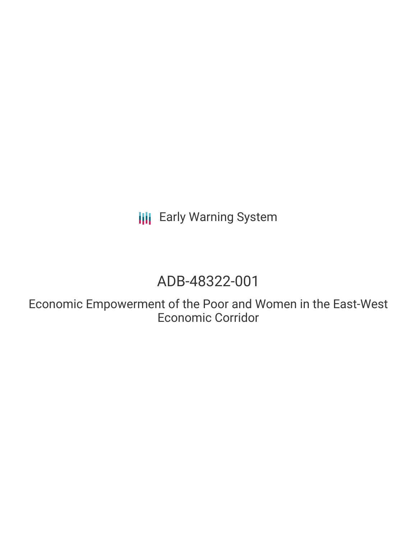**III** Early Warning System

# ADB-48322-001

Economic Empowerment of the Poor and Women in the East-West Economic Corridor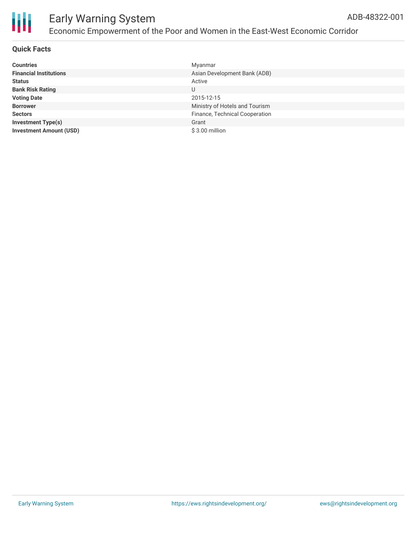

#### **Quick Facts**

| <b>Countries</b>               | Myanmar                        |
|--------------------------------|--------------------------------|
| <b>Financial Institutions</b>  | Asian Development Bank (ADB)   |
| <b>Status</b>                  | Active                         |
| <b>Bank Risk Rating</b>        | U                              |
| <b>Voting Date</b>             | 2015-12-15                     |
| <b>Borrower</b>                | Ministry of Hotels and Tourism |
| <b>Sectors</b>                 | Finance, Technical Cooperation |
| <b>Investment Type(s)</b>      | Grant                          |
| <b>Investment Amount (USD)</b> | \$3.00 million                 |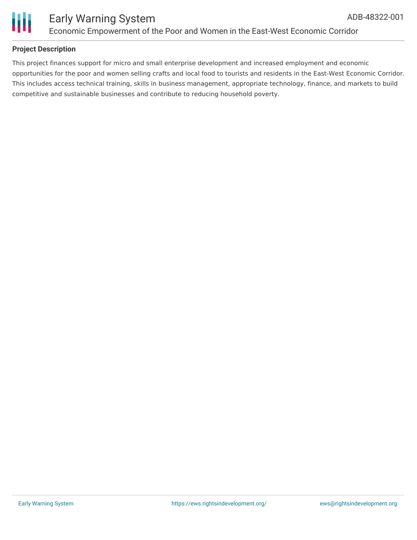



### **Project Description**

This project finances support for micro and small enterprise development and increased employment and economic opportunities for the poor and women selling crafts and local food to tourists and residents in the East-West Economic Corridor. This includes access technical training, skills in business management, appropriate technology, finance, and markets to build competitive and sustainable businesses and contribute to reducing household poverty.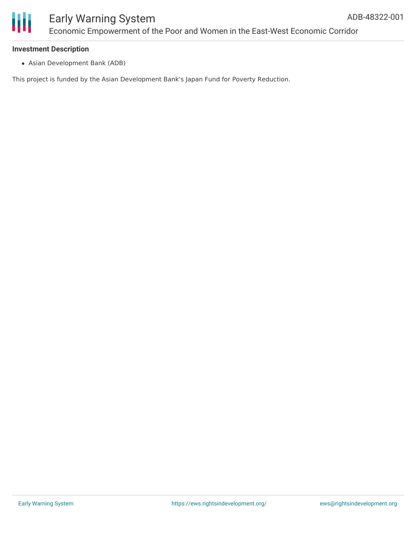

# Early Warning System Economic Empowerment of the Poor and Women in the East-West Economic Corridor

#### **Investment Description**

Asian Development Bank (ADB)

This project is funded by the Asian Development Bank's Japan Fund for Poverty Reduction.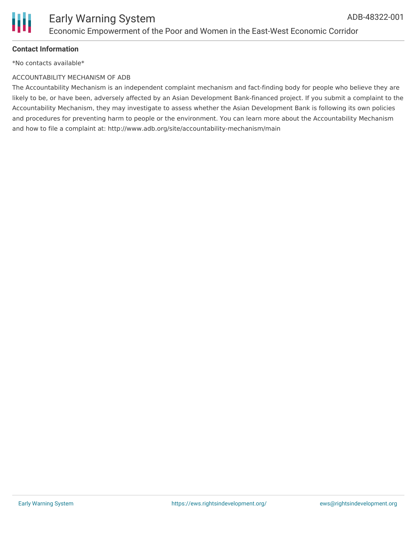

### **Contact Information**

\*No contacts available\*

#### ACCOUNTABILITY MECHANISM OF ADB

The Accountability Mechanism is an independent complaint mechanism and fact-finding body for people who believe they are likely to be, or have been, adversely affected by an Asian Development Bank-financed project. If you submit a complaint to the Accountability Mechanism, they may investigate to assess whether the Asian Development Bank is following its own policies and procedures for preventing harm to people or the environment. You can learn more about the Accountability Mechanism and how to file a complaint at: http://www.adb.org/site/accountability-mechanism/main